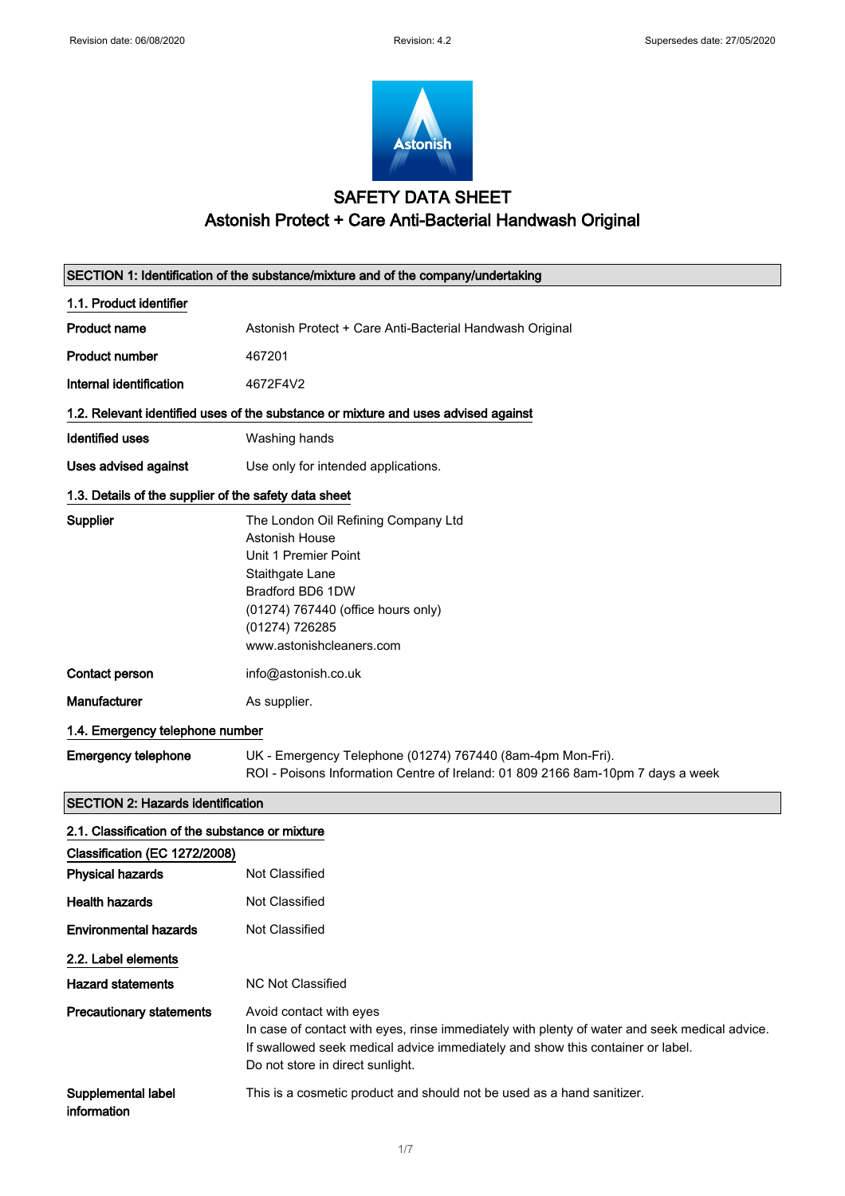

## SAFETY DATA SHEET Astonish Protect + Care Anti-Bacterial Handwash Original

| SECTION 1: Identification of the substance/mixture and of the company/undertaking  |                                                                                                                                                                                                                                                |  |
|------------------------------------------------------------------------------------|------------------------------------------------------------------------------------------------------------------------------------------------------------------------------------------------------------------------------------------------|--|
| 1.1. Product identifier                                                            |                                                                                                                                                                                                                                                |  |
| <b>Product name</b>                                                                | Astonish Protect + Care Anti-Bacterial Handwash Original                                                                                                                                                                                       |  |
| <b>Product number</b>                                                              | 467201                                                                                                                                                                                                                                         |  |
| Internal identification                                                            | 4672F4V2                                                                                                                                                                                                                                       |  |
| 1.2. Relevant identified uses of the substance or mixture and uses advised against |                                                                                                                                                                                                                                                |  |
| <b>Identified uses</b>                                                             | Washing hands                                                                                                                                                                                                                                  |  |
| Uses advised against                                                               | Use only for intended applications.                                                                                                                                                                                                            |  |
| 1.3. Details of the supplier of the safety data sheet                              |                                                                                                                                                                                                                                                |  |
| Supplier                                                                           | The London Oil Refining Company Ltd<br><b>Astonish House</b><br>Unit 1 Premier Point<br>Staithgate Lane<br>Bradford BD6 1DW<br>(01274) 767440 (office hours only)<br>(01274) 726285<br>www.astonishcleaners.com                                |  |
| Contact person                                                                     | info@astonish.co.uk                                                                                                                                                                                                                            |  |
| <b>Manufacturer</b>                                                                | As supplier.                                                                                                                                                                                                                                   |  |
| 1.4. Emergency telephone number                                                    |                                                                                                                                                                                                                                                |  |
| <b>Emergency telephone</b>                                                         | UK - Emergency Telephone (01274) 767440 (8am-4pm Mon-Fri).<br>ROI - Poisons Information Centre of Ireland: 01 809 2166 8am-10pm 7 days a week                                                                                                  |  |
| <b>SECTION 2: Hazards identification</b>                                           |                                                                                                                                                                                                                                                |  |
| 2.1. Classification of the substance or mixture                                    |                                                                                                                                                                                                                                                |  |
| Classification (EC 1272/2008)                                                      |                                                                                                                                                                                                                                                |  |
| <b>Physical hazards</b>                                                            | Not Classified                                                                                                                                                                                                                                 |  |
| <b>Health hazards</b>                                                              | Not Classified                                                                                                                                                                                                                                 |  |
| <b>Environmental hazards</b>                                                       | Not Classified                                                                                                                                                                                                                                 |  |
| 2.2. Label elements                                                                |                                                                                                                                                                                                                                                |  |
| <b>Hazard statements</b>                                                           | <b>NC Not Classified</b>                                                                                                                                                                                                                       |  |
| <b>Precautionary statements</b>                                                    | Avoid contact with eyes<br>In case of contact with eyes, rinse immediately with plenty of water and seek medical advice.<br>If swallowed seek medical advice immediately and show this container or label.<br>Do not store in direct sunlight. |  |
| Supplemental label<br>information                                                  | This is a cosmetic product and should not be used as a hand sanitizer.                                                                                                                                                                         |  |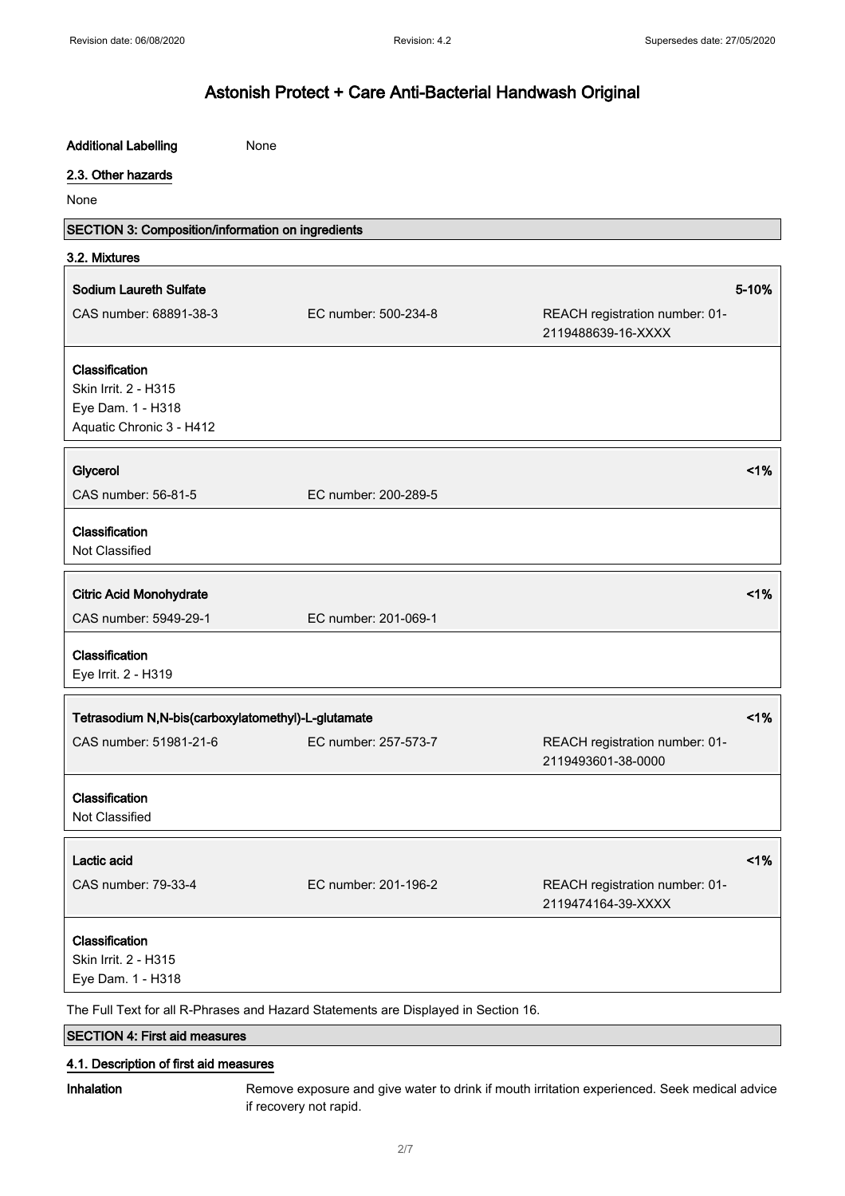| <b>Additional Labelling</b>                                                             | None                 |                                                      |       |
|-----------------------------------------------------------------------------------------|----------------------|------------------------------------------------------|-------|
| 2.3. Other hazards                                                                      |                      |                                                      |       |
| None                                                                                    |                      |                                                      |       |
| SECTION 3: Composition/information on ingredients                                       |                      |                                                      |       |
| 3.2. Mixtures                                                                           |                      |                                                      |       |
| <b>Sodium Laureth Sulfate</b>                                                           |                      |                                                      | 5-10% |
| CAS number: 68891-38-3                                                                  | EC number: 500-234-8 | REACH registration number: 01-<br>2119488639-16-XXXX |       |
| Classification<br>Skin Irrit. 2 - H315<br>Eye Dam. 1 - H318<br>Aquatic Chronic 3 - H412 |                      |                                                      |       |
| Glycerol                                                                                |                      |                                                      | 1%    |
| CAS number: 56-81-5                                                                     | EC number: 200-289-5 |                                                      |       |
| Classification<br>Not Classified                                                        |                      |                                                      |       |
| <b>Citric Acid Monohydrate</b>                                                          |                      |                                                      | 1%    |
| CAS number: 5949-29-1                                                                   | EC number: 201-069-1 |                                                      |       |
| Classification<br>Eye Irrit. 2 - H319                                                   |                      |                                                      |       |
| 1%<br>Tetrasodium N,N-bis(carboxylatomethyl)-L-glutamate                                |                      |                                                      |       |
| CAS number: 51981-21-6                                                                  | EC number: 257-573-7 | REACH registration number: 01-<br>2119493601-38-0000 |       |
| Classification<br>Not Classified                                                        |                      |                                                      |       |
| Lactic acid                                                                             |                      |                                                      | 1%    |
| CAS number: 79-33-4                                                                     | EC number: 201-196-2 | REACH registration number: 01-<br>2119474164-39-XXXX |       |
| Classification<br>Skin Irrit. 2 - H315<br>Eye Dam. 1 - H318                             |                      |                                                      |       |
| The Full Text for all R-Phrases and Hazard Statements are Displayed in Section 16.      |                      |                                                      |       |
| <b>SECTION 4: First aid measures</b>                                                    |                      |                                                      |       |

### 4.1. Description of first aid measures

Inhalation Remove exposure and give water to drink if mouth irritation experienced. Seek medical advice if recovery not rapid.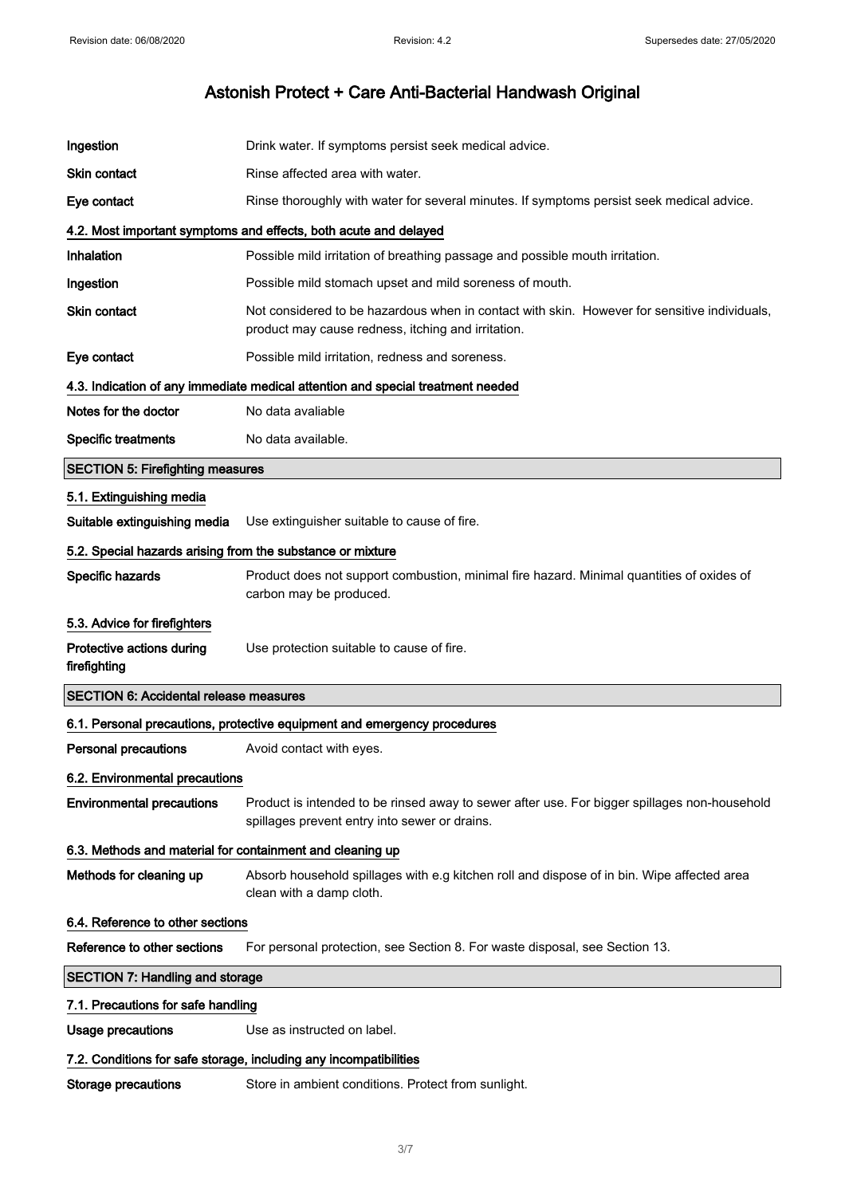| Ingestion                                                         | Drink water. If symptoms persist seek medical advice.                                                                                              |
|-------------------------------------------------------------------|----------------------------------------------------------------------------------------------------------------------------------------------------|
| <b>Skin contact</b>                                               | Rinse affected area with water.                                                                                                                    |
| Eye contact                                                       | Rinse thoroughly with water for several minutes. If symptoms persist seek medical advice.                                                          |
|                                                                   | 4.2. Most important symptoms and effects, both acute and delayed                                                                                   |
| Inhalation                                                        | Possible mild irritation of breathing passage and possible mouth irritation.                                                                       |
| Ingestion                                                         | Possible mild stomach upset and mild soreness of mouth.                                                                                            |
| Skin contact                                                      | Not considered to be hazardous when in contact with skin. However for sensitive individuals,<br>product may cause redness, itching and irritation. |
| Eye contact                                                       | Possible mild irritation, redness and soreness.                                                                                                    |
|                                                                   | 4.3. Indication of any immediate medical attention and special treatment needed                                                                    |
| Notes for the doctor                                              | No data avaliable                                                                                                                                  |
| <b>Specific treatments</b>                                        | No data available.                                                                                                                                 |
| <b>SECTION 5: Firefighting measures</b>                           |                                                                                                                                                    |
| 5.1. Extinguishing media                                          |                                                                                                                                                    |
| Suitable extinguishing media                                      | Use extinguisher suitable to cause of fire.                                                                                                        |
| 5.2. Special hazards arising from the substance or mixture        |                                                                                                                                                    |
| Specific hazards                                                  | Product does not support combustion, minimal fire hazard. Minimal quantities of oxides of<br>carbon may be produced.                               |
| 5.3. Advice for firefighters                                      |                                                                                                                                                    |
| Protective actions during<br>firefighting                         | Use protection suitable to cause of fire.                                                                                                          |
| <b>SECTION 6: Accidental release measures</b>                     |                                                                                                                                                    |
|                                                                   | 6.1. Personal precautions, protective equipment and emergency procedures                                                                           |
| <b>Personal precautions</b>                                       | Avoid contact with eyes.                                                                                                                           |
| 6.2. Environmental precautions                                    |                                                                                                                                                    |
| <b>Environmental precautions</b>                                  | Product is intended to be rinsed away to sewer after use. For bigger spillages non-household<br>spillages prevent entry into sewer or drains.      |
| 6.3. Methods and material for containment and cleaning up         |                                                                                                                                                    |
| Methods for cleaning up                                           | Absorb household spillages with e.g kitchen roll and dispose of in bin. Wipe affected area<br>clean with a damp cloth.                             |
| 6.4. Reference to other sections                                  |                                                                                                                                                    |
| Reference to other sections                                       | For personal protection, see Section 8. For waste disposal, see Section 13.                                                                        |
| <b>SECTION 7: Handling and storage</b>                            |                                                                                                                                                    |
| 7.1. Precautions for safe handling                                |                                                                                                                                                    |
| <b>Usage precautions</b>                                          | Use as instructed on label.                                                                                                                        |
| 7.2. Conditions for safe storage, including any incompatibilities |                                                                                                                                                    |
|                                                                   |                                                                                                                                                    |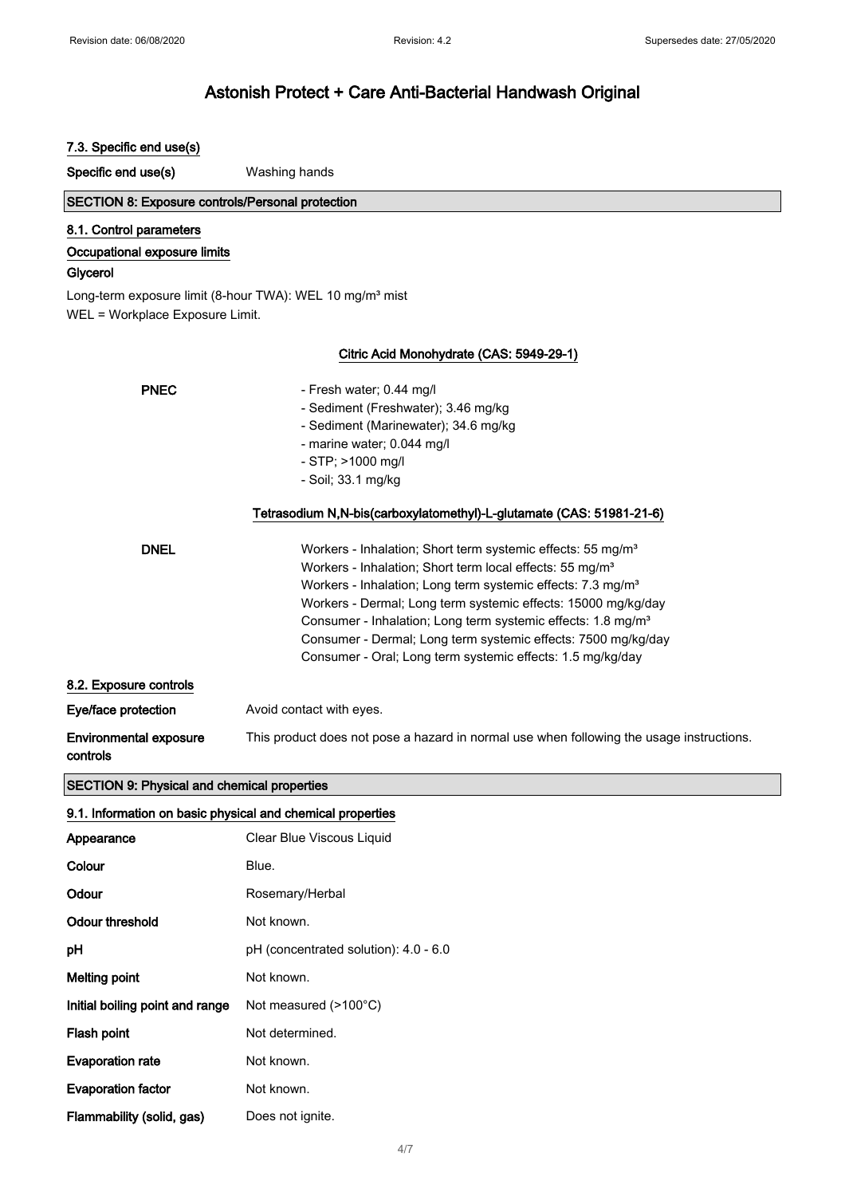| 7.3. Specific end use(s)                                                                                                                    |                                                                                                                                                                                                                                                                                                                                                                                                                                                                                                        |  |
|---------------------------------------------------------------------------------------------------------------------------------------------|--------------------------------------------------------------------------------------------------------------------------------------------------------------------------------------------------------------------------------------------------------------------------------------------------------------------------------------------------------------------------------------------------------------------------------------------------------------------------------------------------------|--|
| Specific end use(s)                                                                                                                         | Washing hands                                                                                                                                                                                                                                                                                                                                                                                                                                                                                          |  |
| <b>SECTION 8: Exposure controls/Personal protection</b>                                                                                     |                                                                                                                                                                                                                                                                                                                                                                                                                                                                                                        |  |
| 8.1. Control parameters<br>Occupational exposure limits<br>Glycerol<br>Long-term exposure limit (8-hour TWA): WEL 10 mg/m <sup>3</sup> mist |                                                                                                                                                                                                                                                                                                                                                                                                                                                                                                        |  |
| WEL = Workplace Exposure Limit.                                                                                                             |                                                                                                                                                                                                                                                                                                                                                                                                                                                                                                        |  |
| Citric Acid Monohydrate (CAS: 5949-29-1)                                                                                                    |                                                                                                                                                                                                                                                                                                                                                                                                                                                                                                        |  |
| <b>PNEC</b>                                                                                                                                 | - Fresh water; 0.44 mg/l<br>- Sediment (Freshwater); 3.46 mg/kg<br>- Sediment (Marinewater); 34.6 mg/kg<br>- marine water; 0.044 mg/l<br>- STP; >1000 mg/l<br>- Soil; 33.1 mg/kg                                                                                                                                                                                                                                                                                                                       |  |
|                                                                                                                                             | Tetrasodium N,N-bis(carboxylatomethyl)-L-glutamate (CAS: 51981-21-6)                                                                                                                                                                                                                                                                                                                                                                                                                                   |  |
| <b>DNEL</b>                                                                                                                                 | Workers - Inhalation; Short term systemic effects: 55 mg/m <sup>3</sup><br>Workers - Inhalation; Short term local effects: 55 mg/m <sup>3</sup><br>Workers - Inhalation; Long term systemic effects: 7.3 mg/m <sup>3</sup><br>Workers - Dermal; Long term systemic effects: 15000 mg/kg/day<br>Consumer - Inhalation; Long term systemic effects: 1.8 mg/m <sup>3</sup><br>Consumer - Dermal; Long term systemic effects: 7500 mg/kg/day<br>Consumer - Oral; Long term systemic effects: 1.5 mg/kg/day |  |
| 8.2. Exposure controls                                                                                                                      |                                                                                                                                                                                                                                                                                                                                                                                                                                                                                                        |  |
| Eye/face protection                                                                                                                         | Avoid contact with eyes.                                                                                                                                                                                                                                                                                                                                                                                                                                                                               |  |
| <b>Environmental exposure</b><br>controls                                                                                                   | This product does not pose a hazard in normal use when following the usage instructions.                                                                                                                                                                                                                                                                                                                                                                                                               |  |
| <b>SECTION 9: Physical and chemical properties</b>                                                                                          |                                                                                                                                                                                                                                                                                                                                                                                                                                                                                                        |  |
| 9.1. Information on basic physical and chemical properties                                                                                  |                                                                                                                                                                                                                                                                                                                                                                                                                                                                                                        |  |
| Appearance                                                                                                                                  | Clear Blue Viscous Liquid                                                                                                                                                                                                                                                                                                                                                                                                                                                                              |  |
| Colour                                                                                                                                      | Blue.                                                                                                                                                                                                                                                                                                                                                                                                                                                                                                  |  |
| Odour                                                                                                                                       | Rosemary/Herbal                                                                                                                                                                                                                                                                                                                                                                                                                                                                                        |  |
| <b>Odour threshold</b>                                                                                                                      | Not known.                                                                                                                                                                                                                                                                                                                                                                                                                                                                                             |  |
| pH                                                                                                                                          | pH (concentrated solution): 4.0 - 6.0                                                                                                                                                                                                                                                                                                                                                                                                                                                                  |  |
| <b>Melting point</b>                                                                                                                        | Not known.                                                                                                                                                                                                                                                                                                                                                                                                                                                                                             |  |
| Initial boiling point and range                                                                                                             | Not measured (>100°C)                                                                                                                                                                                                                                                                                                                                                                                                                                                                                  |  |
| Flash point                                                                                                                                 | Not determined.                                                                                                                                                                                                                                                                                                                                                                                                                                                                                        |  |
| <b>Evaporation rate</b>                                                                                                                     | Not known.                                                                                                                                                                                                                                                                                                                                                                                                                                                                                             |  |
| <b>Evaporation factor</b>                                                                                                                   | Not known.                                                                                                                                                                                                                                                                                                                                                                                                                                                                                             |  |
| Flammability (solid, gas)                                                                                                                   | Does not ignite.                                                                                                                                                                                                                                                                                                                                                                                                                                                                                       |  |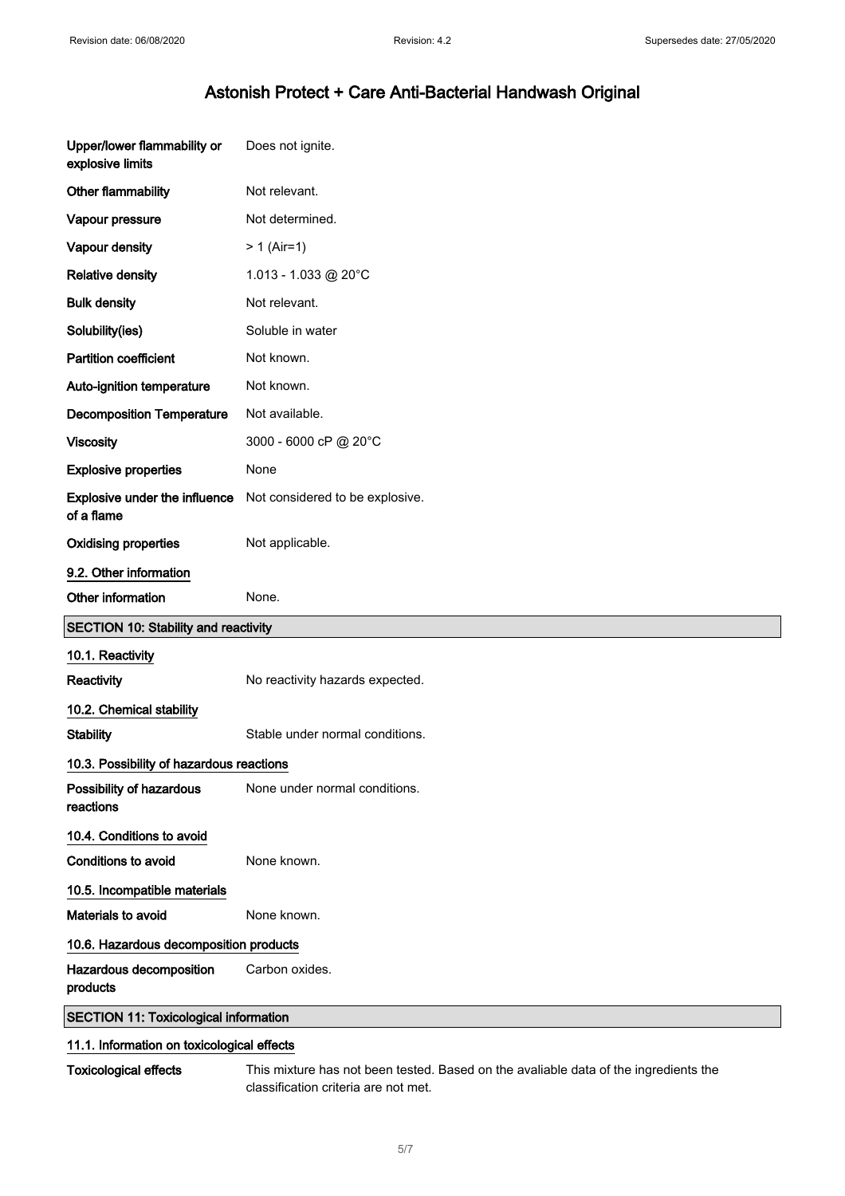| Upper/lower flammability or<br>explosive limits | Does not ignite.                |
|-------------------------------------------------|---------------------------------|
| Other flammability                              | Not relevant.                   |
| Vapour pressure                                 | Not determined.                 |
| Vapour density                                  | $> 1$ (Air=1)                   |
| <b>Relative density</b>                         | 1.013 - 1.033 @ 20°C            |
| <b>Bulk density</b>                             | Not relevant.                   |
| Solubility(ies)                                 | Soluble in water                |
| <b>Partition coefficient</b>                    | Not known.                      |
| Auto-ignition temperature                       | Not known.                      |
| <b>Decomposition Temperature</b>                | Not available.                  |
| <b>Viscosity</b>                                | 3000 - 6000 cP @ 20°C           |
| <b>Explosive properties</b>                     | None                            |
| Explosive under the influence<br>of a flame     | Not considered to be explosive. |
| <b>Oxidising properties</b>                     | Not applicable.                 |
| 9.2. Other information                          |                                 |
|                                                 |                                 |
| Other information                               | None.                           |
| <b>SECTION 10: Stability and reactivity</b>     |                                 |
| 10.1. Reactivity                                |                                 |
| Reactivity                                      | No reactivity hazards expected. |
| 10.2. Chemical stability                        |                                 |
| <b>Stability</b>                                | Stable under normal conditions. |
| 10.3. Possibility of hazardous reactions        |                                 |
| Possibility of hazardous<br>reactions           | None under normal conditions.   |
| 10.4. Conditions to avoid                       |                                 |
| <b>Conditions to avoid</b>                      | None known.                     |
| 10.5. Incompatible materials                    |                                 |
| Materials to avoid                              | None known.                     |
| 10.6. Hazardous decomposition products          |                                 |
| Hazardous decomposition<br>products             | Carbon oxides.                  |

### 11.1. Information on toxicological effects

Toxicological effects This mixture has not been tested. Based on the avaliable data of the ingredients the classification criteria are not met.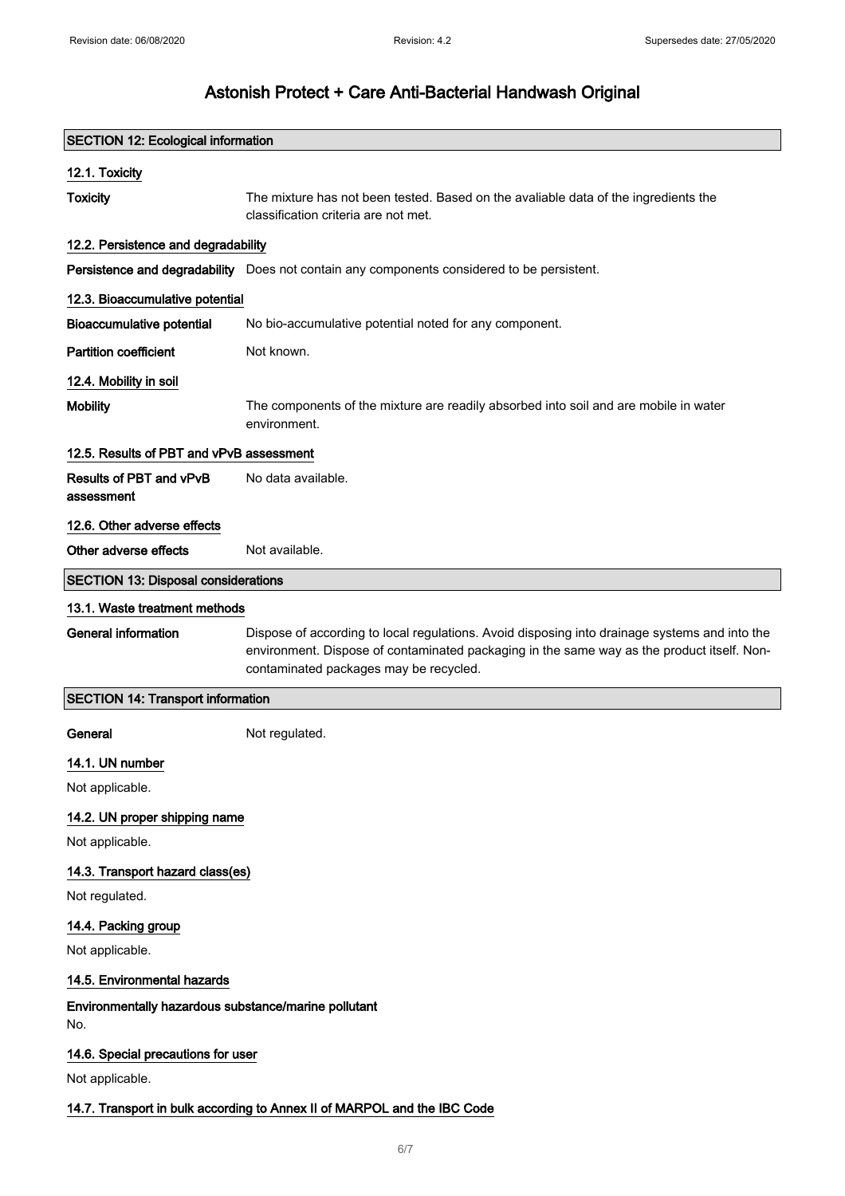| <b>SECTION 12: Ecological information</b>                                |                                                                                                                                                                                                                                       |  |
|--------------------------------------------------------------------------|---------------------------------------------------------------------------------------------------------------------------------------------------------------------------------------------------------------------------------------|--|
| 12.1. Toxicity                                                           |                                                                                                                                                                                                                                       |  |
| <b>Toxicity</b>                                                          | The mixture has not been tested. Based on the avaliable data of the ingredients the<br>classification criteria are not met.                                                                                                           |  |
| 12.2. Persistence and degradability                                      |                                                                                                                                                                                                                                       |  |
|                                                                          | Persistence and degradability Does not contain any components considered to be persistent.                                                                                                                                            |  |
| 12.3. Bioaccumulative potential                                          |                                                                                                                                                                                                                                       |  |
| <b>Bioaccumulative potential</b>                                         | No bio-accumulative potential noted for any component.                                                                                                                                                                                |  |
| <b>Partition coefficient</b>                                             | Not known.                                                                                                                                                                                                                            |  |
| 12.4. Mobility in soil                                                   |                                                                                                                                                                                                                                       |  |
| <b>Mobility</b>                                                          | The components of the mixture are readily absorbed into soil and are mobile in water<br>environment.                                                                                                                                  |  |
| 12.5. Results of PBT and vPvB assessment                                 |                                                                                                                                                                                                                                       |  |
| Results of PBT and vPvB<br>assessment                                    | No data available.                                                                                                                                                                                                                    |  |
| 12.6. Other adverse effects                                              |                                                                                                                                                                                                                                       |  |
| Other adverse effects                                                    | Not available.                                                                                                                                                                                                                        |  |
| <b>SECTION 13: Disposal considerations</b>                               |                                                                                                                                                                                                                                       |  |
| 13.1. Waste treatment methods                                            |                                                                                                                                                                                                                                       |  |
| <b>General information</b>                                               | Dispose of according to local regulations. Avoid disposing into drainage systems and into the<br>environment. Dispose of contaminated packaging in the same way as the product itself. Non-<br>contaminated packages may be recycled. |  |
| <b>SECTION 14: Transport information</b>                                 |                                                                                                                                                                                                                                       |  |
| General                                                                  | Not regulated.                                                                                                                                                                                                                        |  |
| 14.1. UN number                                                          |                                                                                                                                                                                                                                       |  |
| Not applicable.                                                          |                                                                                                                                                                                                                                       |  |
| 14.2. UN proper shipping name                                            |                                                                                                                                                                                                                                       |  |
| Not applicable.                                                          |                                                                                                                                                                                                                                       |  |
| 14.3. Transport hazard class(es)                                         |                                                                                                                                                                                                                                       |  |
| Not regulated.                                                           |                                                                                                                                                                                                                                       |  |
| 14.4. Packing group                                                      |                                                                                                                                                                                                                                       |  |
| Not applicable.                                                          |                                                                                                                                                                                                                                       |  |
| 14.5. Environmental hazards                                              |                                                                                                                                                                                                                                       |  |
| Environmentally hazardous substance/marine pollutant<br>No.              |                                                                                                                                                                                                                                       |  |
| 14.6. Special precautions for user                                       |                                                                                                                                                                                                                                       |  |
| Not applicable.                                                          |                                                                                                                                                                                                                                       |  |
| 14.7. Transport in bulk according to Annex II of MARPOL and the IBC Code |                                                                                                                                                                                                                                       |  |